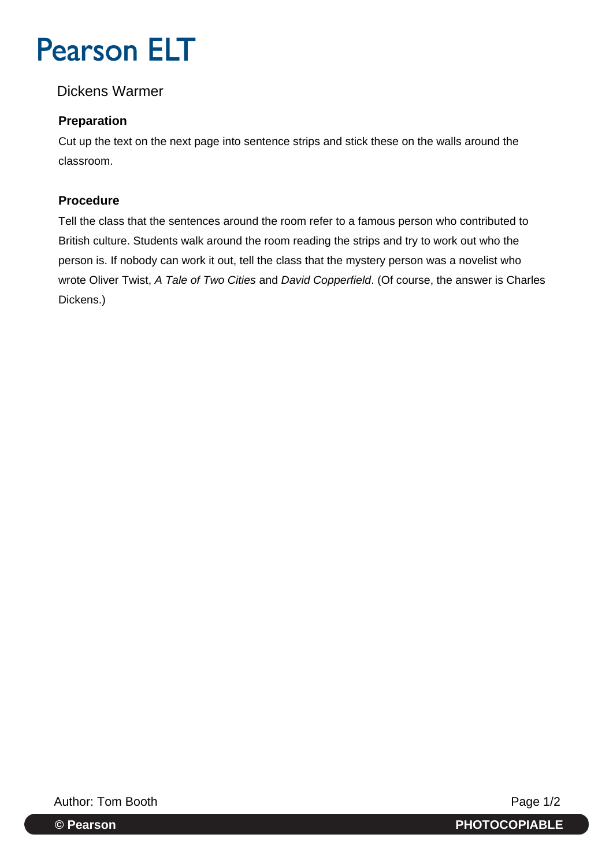# **Pearson ELT**

### Dickens Warmer

#### **Preparation**

Cut up the text on the next page into sentence strips and stick these on the walls around the classroom.

#### **Procedure**

Tell the class that the sentences around the room refer to a famous person who contributed to British culture. Students walk around the room reading the strips and try to work out who the person is. If nobody can work it out, tell the class that the mystery person was a novelist who wrote Oliver Twist, *A Tale of Two Cities* and *David Copperfield*. (Of course, the answer is Charles Dickens.)

Author: Tom Booth **Page 1/2** 

**© Pearson PHOTOCOPIABLE**